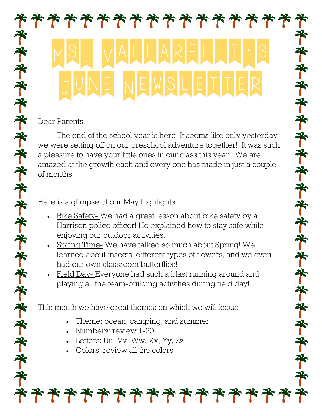## \*\*\*\*\*\*\*\*\*\*\* MS. VALLARELLI'S JUNE NEWSLEITER **齐齐齐齐齐齐齐齐齐齐齐齐齐齐齐齐齐齐**

Dear Parents,

The end of the school year is here! It seems like only yesterday we were setting off on our preschool adventure together! It was such a pleasure to have your little ones in our class this year. We are amazed at the growth each and every one has made in just a couple of months.

Here is a glimpse of our May highlights:

- Bike Safety- We had a great lesson about bike safety by a Harrison police officer! He explained how to stay safe while enjoying our outdoor activities.
- Spring Time- We have talked so much about Spring! We learned about insects, different types of flowers, and we even had our own classroom butterflies!
- Field Day- Everyone had such a blast running around and playing all the team-building activities during field day!

This month we have great themes on which we will focus:

- Theme: ocean, camping, and summer
- Numbers: review 1-20
- Letters: Uu, Vv, Ww, Xx, Yy, Zz
- Colors: review all the colors